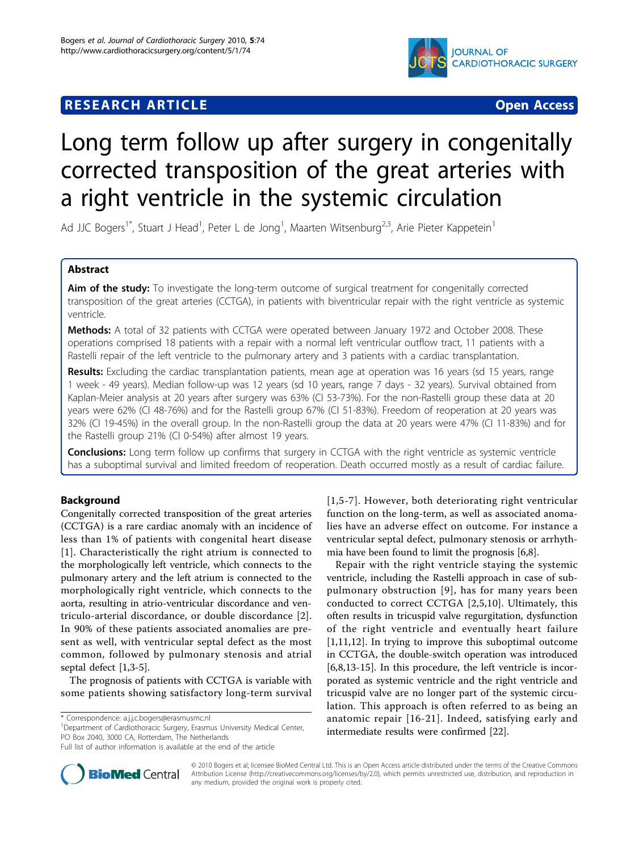# **RESEARCH ARTICLE External Structure of the Contract Open Access**



# Long term follow up after surgery in congenitally corrected transposition of the great arteries with a right ventricle in the systemic circulation

Ad JJC Bogers<sup>1\*</sup>, Stuart J Head<sup>1</sup>, Peter L de Jong<sup>1</sup>, Maarten Witsenburg<sup>2,3</sup>, Arie Pieter Kappetein<sup>1</sup>

# Abstract

Aim of the study: To investigate the long-term outcome of surgical treatment for congenitally corrected transposition of the great arteries (CCTGA), in patients with biventricular repair with the right ventricle as systemic ventricle.

Methods: A total of 32 patients with CCTGA were operated between January 1972 and October 2008. These operations comprised 18 patients with a repair with a normal left ventricular outflow tract, 11 patients with a Rastelli repair of the left ventricle to the pulmonary artery and 3 patients with a cardiac transplantation.

Results: Excluding the cardiac transplantation patients, mean age at operation was 16 years (sd 15 years, range 1 week - 49 years). Median follow-up was 12 years (sd 10 years, range 7 days - 32 years). Survival obtained from Kaplan-Meier analysis at 20 years after surgery was 63% (CI 53-73%). For the non-Rastelli group these data at 20 years were 62% (CI 48-76%) and for the Rastelli group 67% (CI 51-83%). Freedom of reoperation at 20 years was 32% (CI 19-45%) in the overall group. In the non-Rastelli group the data at 20 years were 47% (CI 11-83%) and for the Rastelli group 21% (CI 0-54%) after almost 19 years.

**Conclusions:** Long term follow up confirms that surgery in CCTGA with the right ventricle as systemic ventricle has a suboptimal survival and limited freedom of reoperation. Death occurred mostly as a result of cardiac failure.

### Background

Congenitally corrected transposition of the great arteries (CCTGA) is a rare cardiac anomaly with an incidence of less than 1% of patients with congenital heart disease [[1](#page-5-0)]. Characteristically the right atrium is connected to the morphologically left ventricle, which connects to the pulmonary artery and the left atrium is connected to the morphologically right ventricle, which connects to the aorta, resulting in atrio-ventricular discordance and ventriculo-arterial discordance, or double discordance [[2](#page-5-0)]. In 90% of these patients associated anomalies are present as well, with ventricular septal defect as the most common, followed by pulmonary stenosis and atrial septal defect [\[1,3-5](#page-5-0)].

The prognosis of patients with CCTGA is variable with some patients showing satisfactory long-term survival

\* Correspondence: [a.j.j.c.bogers@erasmusmc.nl](mailto:a.j.j.c.bogers@erasmusmc.nl)

<sup>1</sup>Department of Cardiothoracic Surgery, Erasmus University Medical Center, PO Box 2040, 3000 CA, Rotterdam, The Netherlands

[[1](#page-5-0),[5](#page-5-0)-[7](#page-5-0)]. However, both deteriorating right ventricular function on the long-term, as well as associated anomalies have an adverse effect on outcome. For instance a ventricular septal defect, pulmonary stenosis or arrhythmia have been found to limit the prognosis [\[6,8](#page-5-0)].

Repair with the right ventricle staying the systemic ventricle, including the Rastelli approach in case of subpulmonary obstruction [[9\]](#page-5-0), has for many years been conducted to correct CCTGA [\[2](#page-5-0),[5,10](#page-5-0)]. Ultimately, this often results in tricuspid valve regurgitation, dysfunction of the right ventricle and eventually heart failure [[1,11,12](#page-5-0)]. In trying to improve this suboptimal outcome in CCTGA, the double-switch operation was introduced [[6,8,13](#page-5-0)-[15\]](#page-5-0). In this procedure, the left ventricle is incorporated as systemic ventricle and the right ventricle and tricuspid valve are no longer part of the systemic circulation. This approach is often referred to as being an anatomic repair [[16-21](#page-5-0)]. Indeed, satisfying early and intermediate results were confirmed [\[22](#page-6-0)].



© 2010 Bogers et al; licensee BioMed Central Ltd. This is an Open Access article distributed under the terms of the Creative Commons Attribution License [\(http://creativecommons.org/licenses/by/2.0](http://creativecommons.org/licenses/by/2.0)), which permits unrestricted use, distribution, and reproduction in any medium, provided the original work is properly cited.

Full list of author information is available at the end of the article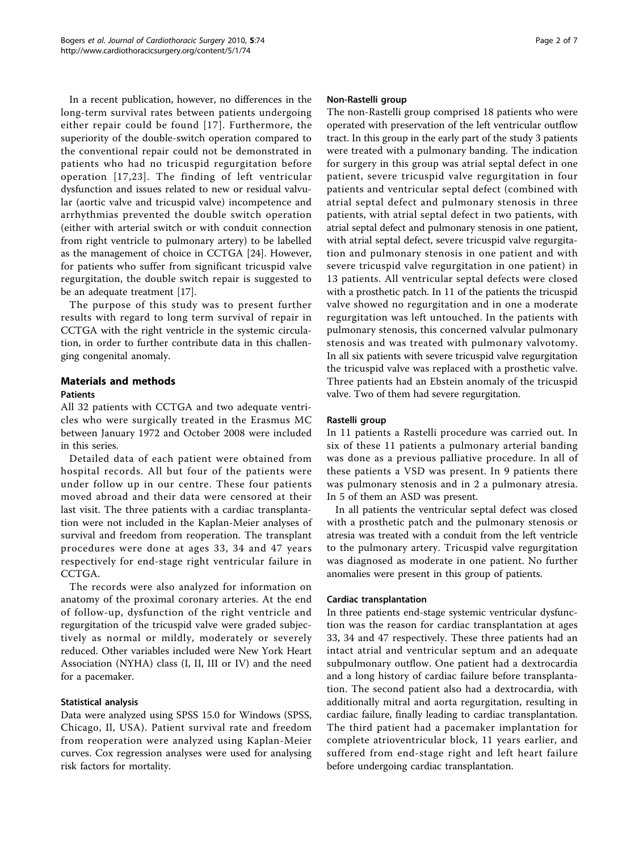In a recent publication, however, no differences in the long-term survival rates between patients undergoing either repair could be found [[17\]](#page-5-0). Furthermore, the superiority of the double-switch operation compared to the conventional repair could not be demonstrated in patients who had no tricuspid regurgitation before operation [[17](#page-5-0),[23](#page-6-0)]. The finding of left ventricular dysfunction and issues related to new or residual valvular (aortic valve and tricuspid valve) incompetence and arrhythmias prevented the double switch operation (either with arterial switch or with conduit connection from right ventricle to pulmonary artery) to be labelled as the management of choice in CCTGA [\[24](#page-6-0)]. However, for patients who suffer from significant tricuspid valve regurgitation, the double switch repair is suggested to be an adequate treatment [\[17\]](#page-5-0).

The purpose of this study was to present further results with regard to long term survival of repair in CCTGA with the right ventricle in the systemic circulation, in order to further contribute data in this challenging congenital anomaly.

# Materials and methods

#### Patients

All 32 patients with CCTGA and two adequate ventricles who were surgically treated in the Erasmus MC between January 1972 and October 2008 were included in this series.

Detailed data of each patient were obtained from hospital records. All but four of the patients were under follow up in our centre. These four patients moved abroad and their data were censored at their last visit. The three patients with a cardiac transplantation were not included in the Kaplan-Meier analyses of survival and freedom from reoperation. The transplant procedures were done at ages 33, 34 and 47 years respectively for end-stage right ventricular failure in CCTGA.

The records were also analyzed for information on anatomy of the proximal coronary arteries. At the end of follow-up, dysfunction of the right ventricle and regurgitation of the tricuspid valve were graded subjectively as normal or mildly, moderately or severely reduced. Other variables included were New York Heart Association (NYHA) class (I, II, III or IV) and the need for a pacemaker.

#### Statistical analysis

Data were analyzed using SPSS 15.0 for Windows (SPSS, Chicago, Il, USA). Patient survival rate and freedom from reoperation were analyzed using Kaplan-Meier curves. Cox regression analyses were used for analysing risk factors for mortality.

#### Non-Rastelli group

The non-Rastelli group comprised 18 patients who were operated with preservation of the left ventricular outflow tract. In this group in the early part of the study 3 patients were treated with a pulmonary banding. The indication for surgery in this group was atrial septal defect in one patient, severe tricuspid valve regurgitation in four patients and ventricular septal defect (combined with atrial septal defect and pulmonary stenosis in three patients, with atrial septal defect in two patients, with atrial septal defect and pulmonary stenosis in one patient, with atrial septal defect, severe tricuspid valve regurgitation and pulmonary stenosis in one patient and with severe tricuspid valve regurgitation in one patient) in 13 patients. All ventricular septal defects were closed with a prosthetic patch. In 11 of the patients the tricuspid valve showed no regurgitation and in one a moderate regurgitation was left untouched. In the patients with pulmonary stenosis, this concerned valvular pulmonary stenosis and was treated with pulmonary valvotomy. In all six patients with severe tricuspid valve regurgitation the tricuspid valve was replaced with a prosthetic valve. Three patients had an Ebstein anomaly of the tricuspid valve. Two of them had severe regurgitation.

#### Rastelli group

In 11 patients a Rastelli procedure was carried out. In six of these 11 patients a pulmonary arterial banding was done as a previous palliative procedure. In all of these patients a VSD was present. In 9 patients there was pulmonary stenosis and in 2 a pulmonary atresia. In 5 of them an ASD was present.

In all patients the ventricular septal defect was closed with a prosthetic patch and the pulmonary stenosis or atresia was treated with a conduit from the left ventricle to the pulmonary artery. Tricuspid valve regurgitation was diagnosed as moderate in one patient. No further anomalies were present in this group of patients.

#### Cardiac transplantation

In three patients end-stage systemic ventricular dysfunction was the reason for cardiac transplantation at ages 33, 34 and 47 respectively. These three patients had an intact atrial and ventricular septum and an adequate subpulmonary outflow. One patient had a dextrocardia and a long history of cardiac failure before transplantation. The second patient also had a dextrocardia, with additionally mitral and aorta regurgitation, resulting in cardiac failure, finally leading to cardiac transplantation. The third patient had a pacemaker implantation for complete atrioventricular block, 11 years earlier, and suffered from end-stage right and left heart failure before undergoing cardiac transplantation.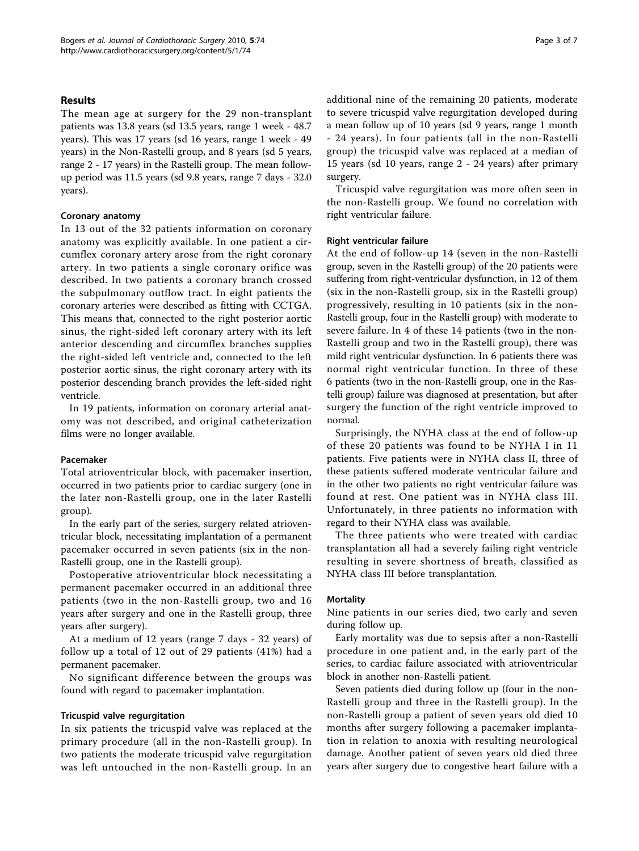#### Results

The mean age at surgery for the 29 non-transplant patients was 13.8 years (sd 13.5 years, range 1 week - 48.7 years). This was 17 years (sd 16 years, range 1 week - 49 years) in the Non-Rastelli group, and 8 years (sd 5 years, range 2 - 17 years) in the Rastelli group. The mean followup period was 11.5 years (sd 9.8 years, range 7 days - 32.0 years).

#### Coronary anatomy

In 13 out of the 32 patients information on coronary anatomy was explicitly available. In one patient a circumflex coronary artery arose from the right coronary artery. In two patients a single coronary orifice was described. In two patients a coronary branch crossed the subpulmonary outflow tract. In eight patients the coronary arteries were described as fitting with CCTGA. This means that, connected to the right posterior aortic sinus, the right-sided left coronary artery with its left anterior descending and circumflex branches supplies the right-sided left ventricle and, connected to the left posterior aortic sinus, the right coronary artery with its posterior descending branch provides the left-sided right ventricle.

In 19 patients, information on coronary arterial anatomy was not described, and original catheterization films were no longer available.

#### Pacemaker

Total atrioventricular block, with pacemaker insertion, occurred in two patients prior to cardiac surgery (one in the later non-Rastelli group, one in the later Rastelli group).

In the early part of the series, surgery related atrioventricular block, necessitating implantation of a permanent pacemaker occurred in seven patients (six in the non-Rastelli group, one in the Rastelli group).

Postoperative atrioventricular block necessitating a permanent pacemaker occurred in an additional three patients (two in the non-Rastelli group, two and 16 years after surgery and one in the Rastelli group, three years after surgery).

At a medium of 12 years (range 7 days - 32 years) of follow up a total of 12 out of 29 patients (41%) had a permanent pacemaker.

No significant difference between the groups was found with regard to pacemaker implantation.

#### Tricuspid valve regurgitation

In six patients the tricuspid valve was replaced at the primary procedure (all in the non-Rastelli group). In two patients the moderate tricuspid valve regurgitation was left untouched in the non-Rastelli group. In an additional nine of the remaining 20 patients, moderate to severe tricuspid valve regurgitation developed during a mean follow up of 10 years (sd 9 years, range 1 month - 24 years). In four patients (all in the non-Rastelli group) the tricuspid valve was replaced at a median of 15 years (sd 10 years, range 2 - 24 years) after primary surgery.

Tricuspid valve regurgitation was more often seen in the non-Rastelli group. We found no correlation with right ventricular failure.

#### Right ventricular failure

At the end of follow-up 14 (seven in the non-Rastelli group, seven in the Rastelli group) of the 20 patients were suffering from right-ventricular dysfunction, in 12 of them (six in the non-Rastelli group, six in the Rastelli group) progressively, resulting in 10 patients (six in the non-Rastelli group, four in the Rastelli group) with moderate to severe failure. In 4 of these 14 patients (two in the non-Rastelli group and two in the Rastelli group), there was mild right ventricular dysfunction. In 6 patients there was normal right ventricular function. In three of these 6 patients (two in the non-Rastelli group, one in the Rastelli group) failure was diagnosed at presentation, but after surgery the function of the right ventricle improved to normal.

Surprisingly, the NYHA class at the end of follow-up of these 20 patients was found to be NYHA I in 11 patients. Five patients were in NYHA class II, three of these patients suffered moderate ventricular failure and in the other two patients no right ventricular failure was found at rest. One patient was in NYHA class III. Unfortunately, in three patients no information with regard to their NYHA class was available.

The three patients who were treated with cardiac transplantation all had a severely failing right ventricle resulting in severe shortness of breath, classified as NYHA class III before transplantation.

#### **Mortality**

Nine patients in our series died, two early and seven during follow up.

Early mortality was due to sepsis after a non-Rastelli procedure in one patient and, in the early part of the series, to cardiac failure associated with atrioventricular block in another non-Rastelli patient.

Seven patients died during follow up (four in the non-Rastelli group and three in the Rastelli group). In the non-Rastelli group a patient of seven years old died 10 months after surgery following a pacemaker implantation in relation to anoxia with resulting neurological damage. Another patient of seven years old died three years after surgery due to congestive heart failure with a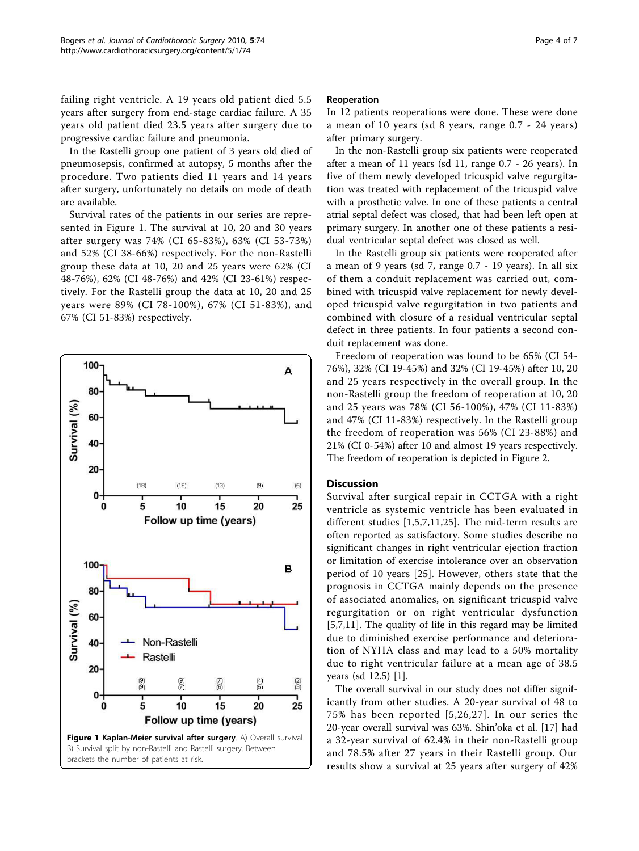<span id="page-3-0"></span>failing right ventricle. A 19 years old patient died 5.5 years after surgery from end-stage cardiac failure. A 35 years old patient died 23.5 years after surgery due to progressive cardiac failure and pneumonia.

In the Rastelli group one patient of 3 years old died of pneumosepsis, confirmed at autopsy, 5 months after the procedure. Two patients died 11 years and 14 years after surgery, unfortunately no details on mode of death are available.

Survival rates of the patients in our series are represented in Figure 1. The survival at 10, 20 and 30 years after surgery was 74% (CI 65-83%), 63% (CI 53-73%) and 52% (CI 38-66%) respectively. For the non-Rastelli group these data at 10, 20 and 25 years were 62% (CI 48-76%), 62% (CI 48-76%) and 42% (CI 23-61%) respectively. For the Rastelli group the data at 10, 20 and 25 years were 89% (CI 78-100%), 67% (CI 51-83%), and 67% (CI 51-83%) respectively.



#### Reoperation

In 12 patients reoperations were done. These were done a mean of 10 years (sd 8 years, range 0.7 - 24 years) after primary surgery.

In the non-Rastelli group six patients were reoperated after a mean of 11 years (sd 11, range 0.7 - 26 years). In five of them newly developed tricuspid valve regurgitation was treated with replacement of the tricuspid valve with a prosthetic valve. In one of these patients a central atrial septal defect was closed, that had been left open at primary surgery. In another one of these patients a residual ventricular septal defect was closed as well.

In the Rastelli group six patients were reoperated after a mean of 9 years (sd 7, range 0.7 - 19 years). In all six of them a conduit replacement was carried out, combined with tricuspid valve replacement for newly developed tricuspid valve regurgitation in two patients and combined with closure of a residual ventricular septal defect in three patients. In four patients a second conduit replacement was done.

Freedom of reoperation was found to be 65% (CI 54- 76%), 32% (CI 19-45%) and 32% (CI 19-45%) after 10, 20 and 25 years respectively in the overall group. In the non-Rastelli group the freedom of reoperation at 10, 20 and 25 years was 78% (CI 56-100%), 47% (CI 11-83%) and 47% (CI 11-83%) respectively. In the Rastelli group the freedom of reoperation was 56% (CI 23-88%) and 21% (CI 0-54%) after 10 and almost 19 years respectively. The freedom of reoperation is depicted in Figure [2](#page-4-0).

#### **Discussion**

Survival after surgical repair in CCTGA with a right ventricle as systemic ventricle has been evaluated in different studies [[1,5](#page-5-0),[7,11,](#page-5-0)[25](#page-6-0)]. The mid-term results are often reported as satisfactory. Some studies describe no significant changes in right ventricular ejection fraction or limitation of exercise intolerance over an observation period of 10 years [[25](#page-6-0)]. However, others state that the prognosis in CCTGA mainly depends on the presence of associated anomalies, on significant tricuspid valve regurgitation or on right ventricular dysfunction [[5,7,11\]](#page-5-0). The quality of life in this regard may be limited due to diminished exercise performance and deterioration of NYHA class and may lead to a 50% mortality due to right ventricular failure at a mean age of 38.5 years (sd 12.5) [\[1](#page-5-0)].

The overall survival in our study does not differ significantly from other studies. A 20-year survival of 48 to 75% has been reported [\[5,](#page-5-0)[26](#page-6-0),[27\]](#page-6-0). In our series the 20-year overall survival was 63%. Shin'oka et al. [\[17](#page-5-0)] had a 32-year survival of 62.4% in their non-Rastelli group and 78.5% after 27 years in their Rastelli group. Our results show a survival at 25 years after surgery of 42%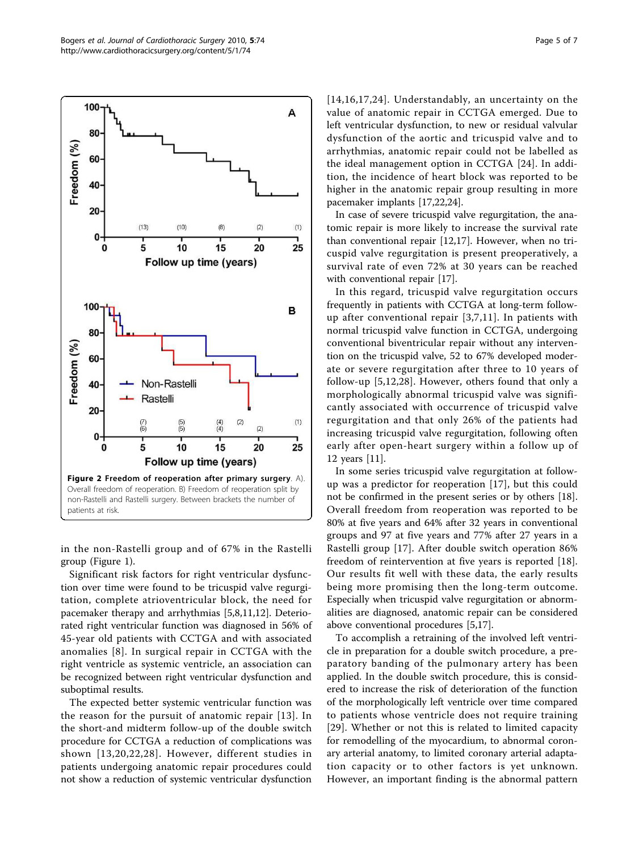A

 $(1)$ 

 $(2)$ 

<span id="page-4-0"></span>100

80

60

40

20

 $(13)$ 

Freedom (%)

[[14,16,17,](#page-5-0)[24\]](#page-6-0). Understandably, an uncertainty on the value of anatomic repair in CCTGA emerged. Due to left ventricular dysfunction, to new or residual valvular dysfunction of the aortic and tricuspid valve and to arrhythmias, anatomic repair could not be labelled as the ideal management option in CCTGA [[24\]](#page-6-0). In addition, the incidence of heart block was reported to be higher in the anatomic repair group resulting in more pacemaker implants [\[17](#page-5-0)[,22,24\]](#page-6-0).

In case of severe tricuspid valve regurgitation, the anatomic repair is more likely to increase the survival rate than conventional repair [\[12,17](#page-5-0)]. However, when no tricuspid valve regurgitation is present preoperatively, a survival rate of even 72% at 30 years can be reached with conventional repair [\[17](#page-5-0)].

In this regard, tricuspid valve regurgitation occurs frequently in patients with CCTGA at long-term followup after conventional repair [\[3,7](#page-5-0),[11\]](#page-5-0). In patients with normal tricuspid valve function in CCTGA, undergoing conventional biventricular repair without any intervention on the tricuspid valve, 52 to 67% developed moderate or severe regurgitation after three to 10 years of follow-up [[5,12,](#page-5-0)[28](#page-6-0)]. However, others found that only a morphologically abnormal tricuspid valve was significantly associated with occurrence of tricuspid valve regurgitation and that only 26% of the patients had increasing tricuspid valve regurgitation, following often early after open-heart surgery within a follow up of 12 years [[11](#page-5-0)].

In some series tricuspid valve regurgitation at followup was a predictor for reoperation [[17\]](#page-5-0), but this could not be confirmed in the present series or by others [\[18](#page-5-0)]. Overall freedom from reoperation was reported to be 80% at five years and 64% after 32 years in conventional groups and 97 at five years and 77% after 27 years in a Rastelli group [[17\]](#page-5-0). After double switch operation 86% freedom of reintervention at five years is reported [\[18](#page-5-0)]. Our results fit well with these data, the early results being more promising then the long-term outcome. Especially when tricuspid valve regurgitation or abnormalities are diagnosed, anatomic repair can be considered above conventional procedures [\[5,17\]](#page-5-0).

To accomplish a retraining of the involved left ventricle in preparation for a double switch procedure, a preparatory banding of the pulmonary artery has been applied. In the double switch procedure, this is considered to increase the risk of deterioration of the function of the morphologically left ventricle over time compared to patients whose ventricle does not require training [[29](#page-6-0)]. Whether or not this is related to limited capacity for remodelling of the myocardium, to abnormal coronary arterial anatomy, to limited coronary arterial adaptation capacity or to other factors is yet unknown. However, an important finding is the abnormal pattern

in the non-Rastelli group and of 67% in the Rastelli group (Figure [1\)](#page-3-0).

Significant risk factors for right ventricular dysfunction over time were found to be tricuspid valve regurgitation, complete atrioventricular block, the need for pacemaker therapy and arrhythmias [[5,8,11,12\]](#page-5-0). Deteriorated right ventricular function was diagnosed in 56% of 45-year old patients with CCTGA and with associated anomalies [[8\]](#page-5-0). In surgical repair in CCTGA with the right ventricle as systemic ventricle, an association can be recognized between right ventricular dysfunction and suboptimal results.

The expected better systemic ventricular function was the reason for the pursuit of anatomic repair [[13](#page-5-0)]. In the short-and midterm follow-up of the double switch procedure for CCTGA a reduction of complications was shown [[13,20,](#page-5-0)[22](#page-6-0),[28\]](#page-6-0). However, different studies in patients undergoing anatomic repair procedures could not show a reduction of systemic ventricular dysfunction



 $(10)$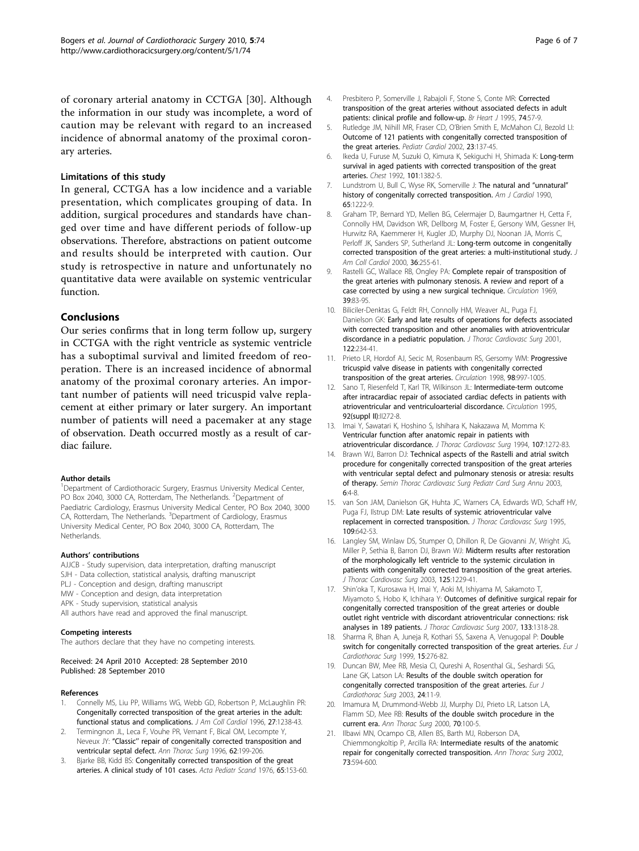<span id="page-5-0"></span>of coronary arterial anatomy in CCTGA [[30\]](#page-6-0). Although the information in our study was incomplete, a word of caution may be relevant with regard to an increased incidence of abnormal anatomy of the proximal coronary arteries.

#### Limitations of this study

In general, CCTGA has a low incidence and a variable presentation, which complicates grouping of data. In addition, surgical procedures and standards have changed over time and have different periods of follow-up observations. Therefore, abstractions on patient outcome and results should be interpreted with caution. Our study is retrospective in nature and unfortunately no quantitative data were available on systemic ventricular function.

#### Conclusions

Our series confirms that in long term follow up, surgery in CCTGA with the right ventricle as systemic ventricle has a suboptimal survival and limited freedom of reoperation. There is an increased incidence of abnormal anatomy of the proximal coronary arteries. An important number of patients will need tricuspid valve replacement at either primary or later surgery. An important number of patients will need a pacemaker at any stage of observation. Death occurred mostly as a result of cardiac failure.

#### Author details

<sup>1</sup>Department of Cardiothoracic Surgery, Erasmus University Medical Center, PO Box 2040, 3000 CA, Rotterdam, The Netherlands. <sup>2</sup>Department of Paediatric Cardiology, Erasmus University Medical Center, PO Box 2040, 3000 CA, Rotterdam, The Netherlands. <sup>3</sup>Department of Cardiology, Erasmus University Medical Center, PO Box 2040, 3000 CA, Rotterdam, The Netherlands.

#### Authors' contributions

AJJCB - Study supervision, data interpretation, drafting manuscript SJH - Data collection, statistical analysis, drafting manuscript PLJ - Conception and design, drafting manuscript MW - Conception and design, data interpretation APK - Study supervision, statistical analysis All authors have read and approved the final manuscript.

#### Competing interests

The authors declare that they have no competing interests.

#### Received: 24 April 2010 Accepted: 28 September 2010 Published: 28 September 2010

#### References

- Connelly MS, Liu PP, Williams WG, Webb GD, Robertson P, McLaughlin PR: [Congenitally corrected transposition of the great arteries in the adult:](http://www.ncbi.nlm.nih.gov/pubmed/8609349?dopt=Abstract) [functional status and complications.](http://www.ncbi.nlm.nih.gov/pubmed/8609349?dopt=Abstract) J Am Coll Cardiol 1996, 27:1238-43.
- Termingnon JL, Leca F, Vouhe PR, Vernant F, Bical OM, Lecompte Y, Neveux JY: "Classic'' [repair of congenitally corrected transposition and](http://www.ncbi.nlm.nih.gov/pubmed/8678643?dopt=Abstract) [ventricular septal defect.](http://www.ncbi.nlm.nih.gov/pubmed/8678643?dopt=Abstract) Ann Thorac Surg 1996, 62:199-206.
- 3. Bjarke BB, Kidd BS: Congenitally corrected transposition of the great arteries. A clinical study of 101 cases. Acta Pediatr Scand 1976, 65:153-60.
- 4. Presbitero P, Somerville J, Rabajoli F, Stone S, Conte MR: [Corrected](http://www.ncbi.nlm.nih.gov/pubmed/7662455?dopt=Abstract) [transposition of the great arteries without associated defects in adult](http://www.ncbi.nlm.nih.gov/pubmed/7662455?dopt=Abstract) [patients: clinical profile and follow-up.](http://www.ncbi.nlm.nih.gov/pubmed/7662455?dopt=Abstract) Br Heart J 1995, 74:57-9.
- 5. Rutledge JM, Nihill MR, Fraser CD, O'Brien Smith E, McMahon CJ, Bezold LI: [Outcome of 121 patients with congenitally corrected transposition of](http://www.ncbi.nlm.nih.gov/pubmed/11889523?dopt=Abstract) [the great arteries.](http://www.ncbi.nlm.nih.gov/pubmed/11889523?dopt=Abstract) Pediatr Cardiol 2002, 23:137-45.
- 6. Ikeda U, Furuse M, Suzuki O, Kimura K, Sekiguchi H, Shimada K: [Long-term](http://www.ncbi.nlm.nih.gov/pubmed/1582301?dopt=Abstract) [survival in aged patients with corrected transposition of the great](http://www.ncbi.nlm.nih.gov/pubmed/1582301?dopt=Abstract) [arteries.](http://www.ncbi.nlm.nih.gov/pubmed/1582301?dopt=Abstract) Chest 1992, 101:1382-5.
- 7. Lundstrom U, Bull C, Wyse RK, Somerville J: [The natural and](http://www.ncbi.nlm.nih.gov/pubmed/2337032?dopt=Abstract) "unnatural" [history of congenitally corrected transposition.](http://www.ncbi.nlm.nih.gov/pubmed/2337032?dopt=Abstract) Am J Cardiol 1990, 65:1222-9.
- 8. Graham TP, Bernard YD, Mellen BG, Celermajer D, Baumgartner H, Cetta F, Connolly HM, Davidson WR, Dellborg M, Foster E, Gersony WM, Gessner IH, Hurwitz RA, Kaemmerer H, Kugler JD, Murphy DJ, Noonan JA, Morris C, Perloff JK, Sanders SP, Sutherland JL: [Long-term outcome in congenitally](http://www.ncbi.nlm.nih.gov/pubmed/10898443?dopt=Abstract) [corrected transposition of the great arteries: a multi-institutional study.](http://www.ncbi.nlm.nih.gov/pubmed/10898443?dopt=Abstract) J Am Coll Cardiol 2000, 36:255-61.
- 9. Rastelli GC, Wallace RB, Ongley PA: [Complete repair of transposition of](http://www.ncbi.nlm.nih.gov/pubmed/5782810?dopt=Abstract) [the great arteries with pulmonary stenosis. A review and report of a](http://www.ncbi.nlm.nih.gov/pubmed/5782810?dopt=Abstract) [case corrected by using a new surgical technique.](http://www.ncbi.nlm.nih.gov/pubmed/5782810?dopt=Abstract) Circulation 1969, 39:83-95.
- 10. Biliciler-Denktas G, Feldt RH, Connolly HM, Weaver AL, Puga FJ, Danielson GK: [Early and late results of operations for defects associated](http://www.ncbi.nlm.nih.gov/pubmed/11479495?dopt=Abstract) [with corrected transposition and other anomalies with atrioventricular](http://www.ncbi.nlm.nih.gov/pubmed/11479495?dopt=Abstract) [discordance in a pediatric population.](http://www.ncbi.nlm.nih.gov/pubmed/11479495?dopt=Abstract) J Thorac Cardiovasc Surg 2001, 122:234-41.
- 11. Prieto LR, Hordof AJ, Secic M, Rosenbaum RS, Gersomy WM: [Progressive](http://www.ncbi.nlm.nih.gov/pubmed/9737520?dopt=Abstract) [tricuspid valve disease in patients with congenitally corrected](http://www.ncbi.nlm.nih.gov/pubmed/9737520?dopt=Abstract) [transposition of the great arteries.](http://www.ncbi.nlm.nih.gov/pubmed/9737520?dopt=Abstract) Circulation 1998, 98:997-1005.
- 12. Sano T, Riesenfeld T, Karl TR, Wilkinson JL: [Intermediate-term outcome](http://www.ncbi.nlm.nih.gov/pubmed/7586423?dopt=Abstract) [after intracardiac repair of associated cardiac defects in patients with](http://www.ncbi.nlm.nih.gov/pubmed/7586423?dopt=Abstract) [atrioventricular and ventriculoarterial discordance.](http://www.ncbi.nlm.nih.gov/pubmed/7586423?dopt=Abstract) Circulation 1995, 92(suppl II):II272-8.
- 13. Imai Y, Sawatari K, Hoshino S, Ishihara K, Nakazawa M, Momma K: [Ventricular function after anatomic repair in patients with](http://www.ncbi.nlm.nih.gov/pubmed/8176971?dopt=Abstract) [atrioventricular discordance.](http://www.ncbi.nlm.nih.gov/pubmed/8176971?dopt=Abstract) J Thorac Cardiovasc Surg 1994, 107:1272-83.
- 14. Brawn WJ, Barron DJ: [Technical aspects of the Rastelli and atrial switch](http://www.ncbi.nlm.nih.gov/pubmed/12740766?dopt=Abstract) [procedure for congenitally corrected transposition of the great arteries](http://www.ncbi.nlm.nih.gov/pubmed/12740766?dopt=Abstract) [with ventricular septal defect and pulmonary stenosis or atresia: results](http://www.ncbi.nlm.nih.gov/pubmed/12740766?dopt=Abstract) [of therapy.](http://www.ncbi.nlm.nih.gov/pubmed/12740766?dopt=Abstract) Semin Thorac Cardiovasc Surg Pediatr Card Surg Annu 2003, 6:4-8.
- 15. van Son JAM, Danielson GK, Huhta JC, Warners CA, Edwards WD, Schaff HV, Puga FJ, Ilstrup DM: [Late results of systemic atrioventricular valve](http://www.ncbi.nlm.nih.gov/pubmed/7715211?dopt=Abstract) [replacement in corrected transposition.](http://www.ncbi.nlm.nih.gov/pubmed/7715211?dopt=Abstract) J Thorac Cardiovasc Surg 1995, 109:642-53.
- 16. Langley SM, Winlaw DS, Stumper O, Dhillon R, De Giovanni JV, Wright JG, Miller P, Sethia B, Barron DJ, Brawn WJ: [Midterm results after restoration](http://www.ncbi.nlm.nih.gov/pubmed/12830039?dopt=Abstract) [of the morphologically left ventricle to the systemic circulation in](http://www.ncbi.nlm.nih.gov/pubmed/12830039?dopt=Abstract) [patients with congenitally corrected transposition of the great arteries.](http://www.ncbi.nlm.nih.gov/pubmed/12830039?dopt=Abstract) J Thorac Cardiovasc Surg 2003, 125:1229-41.
- 17. Shin'oka T, Kurosawa H, Imai Y, Aoki M, Ishiyama M, Sakamoto T, Miyamoto S, Hobo K, Ichihara Y: [Outcomes of definitive surgical repair for](http://www.ncbi.nlm.nih.gov/pubmed/17467450?dopt=Abstract) [congenitally corrected transposition of the great arteries or double](http://www.ncbi.nlm.nih.gov/pubmed/17467450?dopt=Abstract) [outlet right ventricle with discordant atrioventricular connections: risk](http://www.ncbi.nlm.nih.gov/pubmed/17467450?dopt=Abstract) [analyses in 189 patients.](http://www.ncbi.nlm.nih.gov/pubmed/17467450?dopt=Abstract) J Thorac Cardiovasc Surg 2007, 133:1318-28.
- 18. Sharma R, Bhan A, Juneja R, Kothari SS, Saxena A, Venugopal P: [Double](http://www.ncbi.nlm.nih.gov/pubmed/10333023?dopt=Abstract) [switch for congenitally corrected transposition of the great arteries.](http://www.ncbi.nlm.nih.gov/pubmed/10333023?dopt=Abstract) Eur J Cardiothorac Surg 1999, 15:276-82.
- 19. Duncan BW, Mee RB, Mesia CI, Qureshi A, Rosenthal GL, Seshardi SG, Lane GK, Latson LA: [Results of the double switch operation for](http://www.ncbi.nlm.nih.gov/pubmed/12853040?dopt=Abstract) [congenitally corrected transposition of the great arteries.](http://www.ncbi.nlm.nih.gov/pubmed/12853040?dopt=Abstract) Eur J Cardiothorac Surg 2003, 24:11-9.
- 20. Imamura M, Drummond-Webb JJ, Murphy DJ, Prieto LR, Latson LA, Flamm SD, Mee RB: [Results of the double switch procedure in the](http://www.ncbi.nlm.nih.gov/pubmed/10921690?dopt=Abstract) [current era.](http://www.ncbi.nlm.nih.gov/pubmed/10921690?dopt=Abstract) Ann Thorac Surg 2000, 70:100-5.
- 21. Ilbawi MN, Ocampo CB, Allen BS, Barth MJ, Roberson DA, Chiemmongkoltip P, Arcilla RA: [Intermediate results of the anatomic](http://www.ncbi.nlm.nih.gov/pubmed/11845880?dopt=Abstract) [repair for congenitally corrected transposition.](http://www.ncbi.nlm.nih.gov/pubmed/11845880?dopt=Abstract) Ann Thorac Surg 2002, 73:594-600.